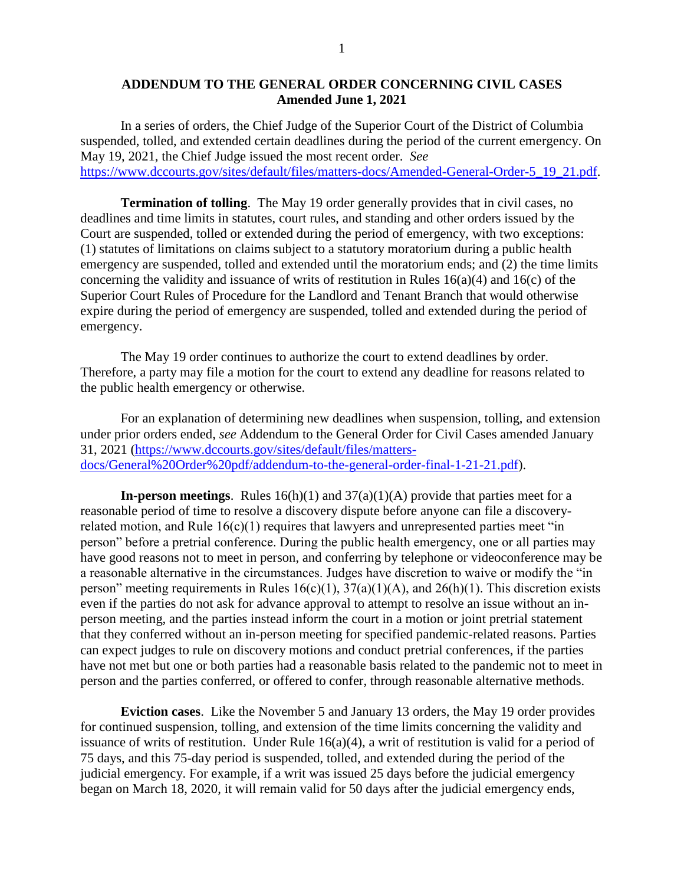## **ADDENDUM TO THE GENERAL ORDER CONCERNING CIVIL CASES Amended June 1, 2021**

In a series of orders, the Chief Judge of the Superior Court of the District of Columbia suspended, tolled, and extended certain deadlines during the period of the current emergency. On May 19, 2021, the Chief Judge issued the most recent order. *See* [https://www.dccourts.gov/sites/default/files/matters-docs/Amended-General-Order-5\\_19\\_21.pdf.](https://www.dccourts.gov/sites/default/files/matters-docs/Amended-General-Order-5_19_21.pdf)

**Termination of tolling**. The May 19 order generally provides that in civil cases, no deadlines and time limits in statutes, court rules, and standing and other orders issued by the Court are suspended, tolled or extended during the period of emergency, with two exceptions: (1) statutes of limitations on claims subject to a statutory moratorium during a public health emergency are suspended, tolled and extended until the moratorium ends; and (2) the time limits concerning the validity and issuance of writs of restitution in Rules 16(a)(4) and 16(c) of the Superior Court Rules of Procedure for the Landlord and Tenant Branch that would otherwise expire during the period of emergency are suspended, tolled and extended during the period of emergency.

The May 19 order continues to authorize the court to extend deadlines by order. Therefore, a party may file a motion for the court to extend any deadline for reasons related to the public health emergency or otherwise.

For an explanation of determining new deadlines when suspension, tolling, and extension under prior orders ended, *see* Addendum to the General Order for Civil Cases amended January 31, 2021 [\(https://www.dccourts.gov/sites/default/files/matters](https://www.dccourts.gov/sites/default/files/matters-docs/General%20Order%20pdf/addendum-to-the-general-order-final-1-21-21.pdf)[docs/General%20Order%20pdf/addendum-to-the-general-order-final-1-21-21.pdf\)](https://www.dccourts.gov/sites/default/files/matters-docs/General%20Order%20pdf/addendum-to-the-general-order-final-1-21-21.pdf).

**In-person meetings**. Rules 16(h)(1) and 37(a)(1)(A) provide that parties meet for a reasonable period of time to resolve a discovery dispute before anyone can file a discoveryrelated motion, and Rule  $16(c)(1)$  requires that lawyers and unrepresented parties meet "in person" before a pretrial conference. During the public health emergency, one or all parties may have good reasons not to meet in person, and conferring by telephone or videoconference may be a reasonable alternative in the circumstances. Judges have discretion to waive or modify the "in person" meeting requirements in Rules  $16(c)(1)$ ,  $37(a)(1)(A)$ , and  $26(h)(1)$ . This discretion exists even if the parties do not ask for advance approval to attempt to resolve an issue without an inperson meeting, and the parties instead inform the court in a motion or joint pretrial statement that they conferred without an in-person meeting for specified pandemic-related reasons. Parties can expect judges to rule on discovery motions and conduct pretrial conferences, if the parties have not met but one or both parties had a reasonable basis related to the pandemic not to meet in person and the parties conferred, or offered to confer, through reasonable alternative methods.

**Eviction cases**. Like the November 5 and January 13 orders, the May 19 order provides for continued suspension, tolling, and extension of the time limits concerning the validity and issuance of writs of restitution. Under Rule 16(a)(4), a writ of restitution is valid for a period of 75 days, and this 75-day period is suspended, tolled, and extended during the period of the judicial emergency. For example, if a writ was issued 25 days before the judicial emergency began on March 18, 2020, it will remain valid for 50 days after the judicial emergency ends,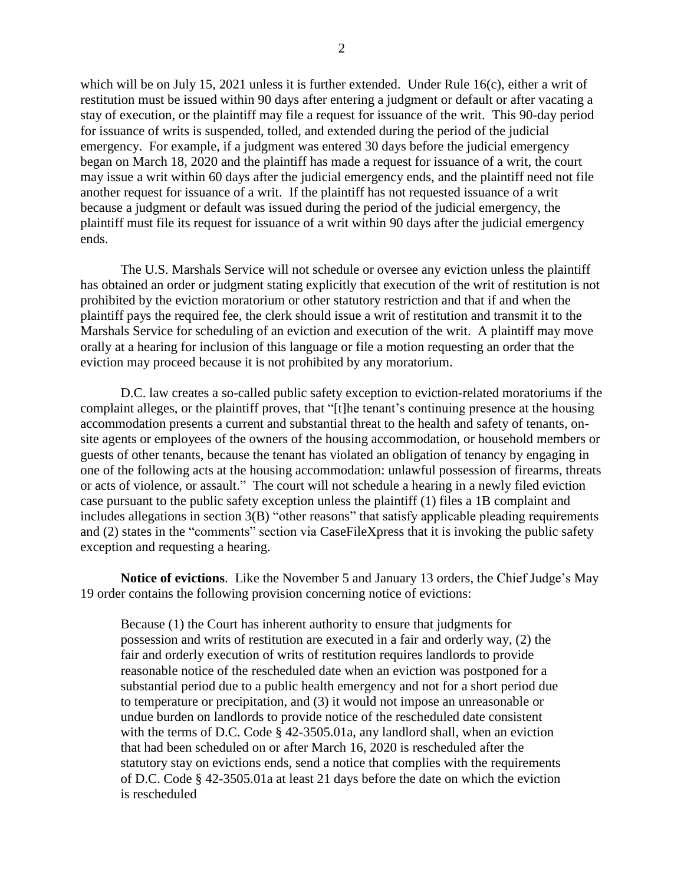which will be on July 15, 2021 unless it is further extended. Under Rule 16(c), either a writ of restitution must be issued within 90 days after entering a judgment or default or after vacating a stay of execution, or the plaintiff may file a request for issuance of the writ. This 90-day period for issuance of writs is suspended, tolled, and extended during the period of the judicial emergency. For example, if a judgment was entered 30 days before the judicial emergency began on March 18, 2020 and the plaintiff has made a request for issuance of a writ, the court

may issue a writ within 60 days after the judicial emergency ends, and the plaintiff need not file another request for issuance of a writ. If the plaintiff has not requested issuance of a writ because a judgment or default was issued during the period of the judicial emergency, the plaintiff must file its request for issuance of a writ within 90 days after the judicial emergency ends.

The U.S. Marshals Service will not schedule or oversee any eviction unless the plaintiff has obtained an order or judgment stating explicitly that execution of the writ of restitution is not prohibited by the eviction moratorium or other statutory restriction and that if and when the plaintiff pays the required fee, the clerk should issue a writ of restitution and transmit it to the Marshals Service for scheduling of an eviction and execution of the writ. A plaintiff may move orally at a hearing for inclusion of this language or file a motion requesting an order that the eviction may proceed because it is not prohibited by any moratorium.

D.C. law creates a so-called public safety exception to eviction-related moratoriums if the complaint alleges, or the plaintiff proves, that "[t]he tenant's continuing presence at the housing accommodation presents a current and substantial threat to the health and safety of tenants, onsite agents or employees of the owners of the housing accommodation, or household members or guests of other tenants, because the tenant has violated an obligation of tenancy by engaging in one of the following acts at the housing accommodation: unlawful possession of firearms, threats or acts of violence, or assault." The court will not schedule a hearing in a newly filed eviction case pursuant to the public safety exception unless the plaintiff (1) files a 1B complaint and includes allegations in section 3(B) "other reasons" that satisfy applicable pleading requirements and (2) states in the "comments" section via CaseFileXpress that it is invoking the public safety exception and requesting a hearing.

**Notice of evictions**. Like the November 5 and January 13 orders, the Chief Judge's May 19 order contains the following provision concerning notice of evictions:

Because (1) the Court has inherent authority to ensure that judgments for possession and writs of restitution are executed in a fair and orderly way, (2) the fair and orderly execution of writs of restitution requires landlords to provide reasonable notice of the rescheduled date when an eviction was postponed for a substantial period due to a public health emergency and not for a short period due to temperature or precipitation, and (3) it would not impose an unreasonable or undue burden on landlords to provide notice of the rescheduled date consistent with the terms of D.C. Code § 42-3505.01a, any landlord shall, when an eviction that had been scheduled on or after March 16, 2020 is rescheduled after the statutory stay on evictions ends, send a notice that complies with the requirements of D.C. Code § 42-3505.01a at least 21 days before the date on which the eviction is rescheduled